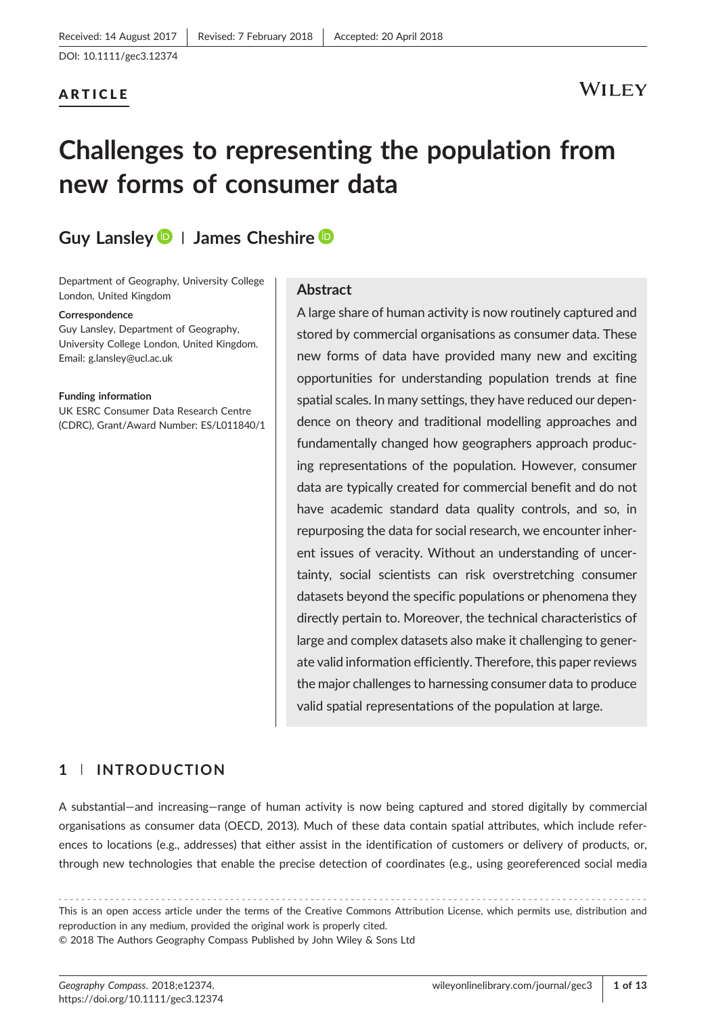#### ARTICLE

## **WILEY**

# **Challenges to representing the population from new forms of consumer data**

### **Guy Lansley | James Cheshire**

Department of Geography, University College London, United Kingdom

#### **Correspondence**

Guy Lansley, Department of Geography, University College London, United Kingdom. Email: [g.lansley@ucl.ac.uk](mailto:g.lansley@ucl.ac.uk)

#### **Funding information**

UK ESRC Consumer Data Research Centre (CDRC), Grant/Award Number: ES/L011840/1

#### **Abstract**

A large share of human activity is now routinely captured and stored by commercial organisations as consumer data. These new forms of data have provided many new and exciting opportunities for understanding population trends at fine spatial scales. In many settings, they have reduced our dependence on theory and traditional modelling approaches and fundamentally changed how geographers approach producing representations of the population. However, consumer data are typically created for commercial benefit and do not have academic standard data quality controls, and so, in repurposing the data for social research, we encounter inherent issues of veracity. Without an understanding of uncertainty, social scientists can risk overstretching consumer datasets beyond the specific populations or phenomena they directly pertain to. Moreover, the technical characteristics of large and complex datasets also make it challenging to generate valid information efficiently. Therefore, this paper reviews the major challenges to harnessing consumer data to produce valid spatial representations of the population at large.

### **1** | **INTRODUCTION**

A substantial—and increasing—range of human activity is now being captured and stored digitally by commercial organisations as consumer data (OECD, 2013). Much of these data contain spatial attributes, which include references to locations (e.g., addresses) that either assist in the identification of customers or delivery of products, or, through new technologies that enable the precise detection of coordinates (e.g., using georeferenced social media

------------------------------------------------------------------------------------------------------- This is an open access article under the terms of the [Creative Commons Attribution](http://creativecommons.org/licenses/by/4.0/) License, which permits use, distribution and reproduction in any medium, provided the original work is properly cited. © 2018 The Authors Geography Compass Published by John Wiley & Sons Ltd

*Geography Compass*. 2018;e12374. <https://doi.org/10.1111/gec3.12374>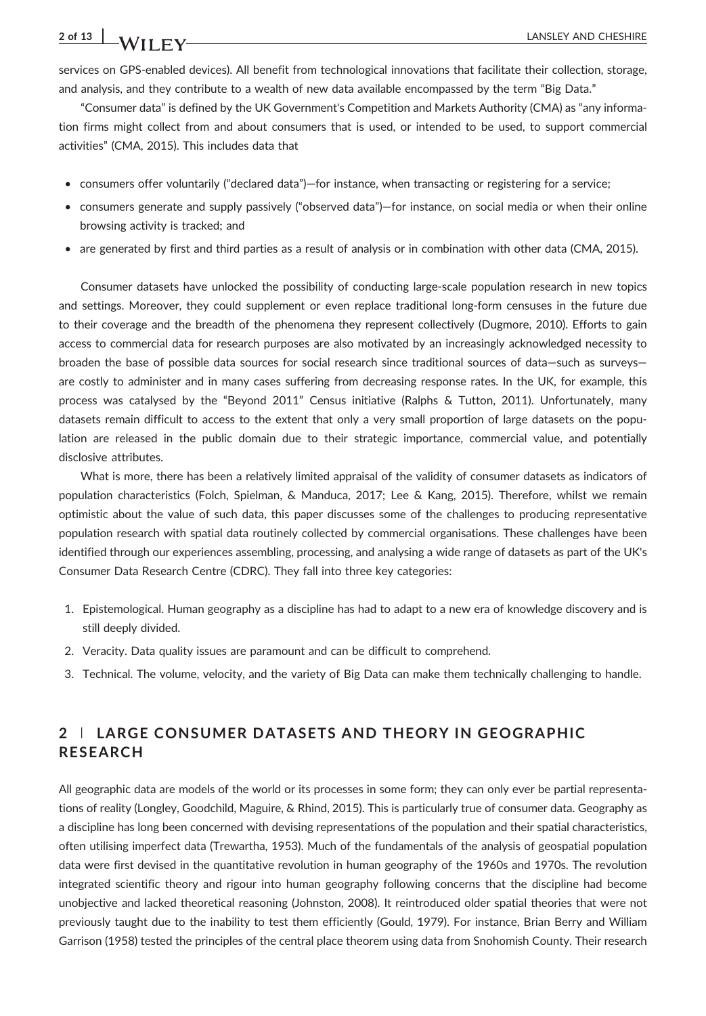services on GPS-enabled devices). All benefit from technological innovations that facilitate their collection, storage, and analysis, and they contribute to a wealth of new data available encompassed by the term "Big Data."

"Consumer data" is defined by the UK Government's Competition and Markets Authority (CMA) as "any information firms might collect from and about consumers that is used, or intended to be used, to support commercial activities" (CMA, 2015). This includes data that

- consumers offer voluntarily ("declared data")—for instance, when transacting or registering for a service;
- consumers generate and supply passively ("observed data")—for instance, on social media or when their online browsing activity is tracked; and
- are generated by first and third parties as a result of analysis or in combination with other data (CMA, 2015).

Consumer datasets have unlocked the possibility of conducting large‐scale population research in new topics and settings. Moreover, they could supplement or even replace traditional long-form censuses in the future due to their coverage and the breadth of the phenomena they represent collectively (Dugmore, 2010). Efforts to gain access to commercial data for research purposes are also motivated by an increasingly acknowledged necessity to broaden the base of possible data sources for social research since traditional sources of data—such as surveys are costly to administer and in many cases suffering from decreasing response rates. In the UK, for example, this process was catalysed by the "Beyond 2011" Census initiative (Ralphs & Tutton, 2011). Unfortunately, many datasets remain difficult to access to the extent that only a very small proportion of large datasets on the population are released in the public domain due to their strategic importance, commercial value, and potentially disclosive attributes.

What is more, there has been a relatively limited appraisal of the validity of consumer datasets as indicators of population characteristics (Folch, Spielman, & Manduca, 2017; Lee & Kang, 2015). Therefore, whilst we remain optimistic about the value of such data, this paper discusses some of the challenges to producing representative population research with spatial data routinely collected by commercial organisations. These challenges have been identified through our experiences assembling, processing, and analysing a wide range of datasets as part of the UK's Consumer Data Research Centre (CDRC). They fall into three key categories:

- 1. Epistemological. Human geography as a discipline has had to adapt to a new era of knowledge discovery and is still deeply divided.
- 2. Veracity. Data quality issues are paramount and can be difficult to comprehend.
- 3. Technical. The volume, velocity, and the variety of Big Data can make them technically challenging to handle.

### **2** | **LARGE CONSUMER DATASETS AND THEORY IN GEOGRAPHIC RESEARCH**

All geographic data are models of the world or its processes in some form; they can only ever be partial representations of reality (Longley, Goodchild, Maguire, & Rhind, 2015). This is particularly true of consumer data. Geography as a discipline has long been concerned with devising representations of the population and their spatial characteristics, often utilising imperfect data (Trewartha, 1953). Much of the fundamentals of the analysis of geospatial population data were first devised in the quantitative revolution in human geography of the 1960s and 1970s. The revolution integrated scientific theory and rigour into human geography following concerns that the discipline had become unobjective and lacked theoretical reasoning (Johnston, 2008). It reintroduced older spatial theories that were not previously taught due to the inability to test them efficiently (Gould, 1979). For instance, Brian Berry and William Garrison (1958) tested the principles of the central place theorem using data from Snohomish County. Their research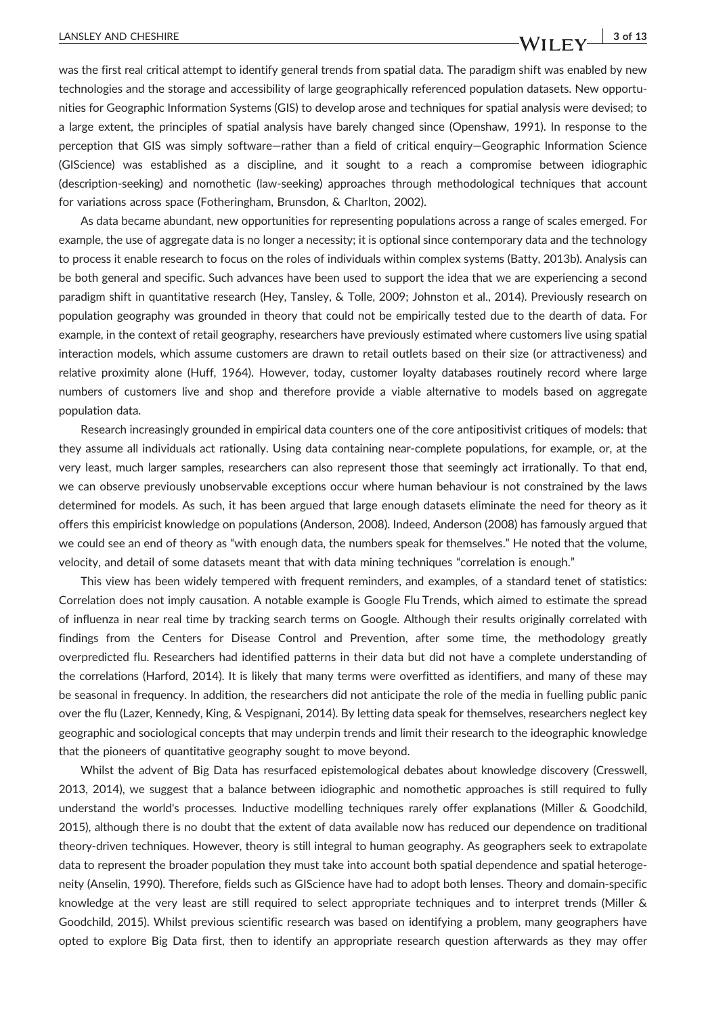was the first real critical attempt to identify general trends from spatial data. The paradigm shift was enabled by new technologies and the storage and accessibility of large geographically referenced population datasets. New opportunities for Geographic Information Systems (GIS) to develop arose and techniques for spatial analysis were devised; to a large extent, the principles of spatial analysis have barely changed since (Openshaw, 1991). In response to the perception that GIS was simply software—rather than a field of critical enquiry—Geographic Information Science (GIScience) was established as a discipline, and it sought to a reach a compromise between idiographic (description‐seeking) and nomothetic (law‐seeking) approaches through methodological techniques that account for variations across space (Fotheringham, Brunsdon, & Charlton, 2002).

As data became abundant, new opportunities for representing populations across a range of scales emerged. For example, the use of aggregate data is no longer a necessity; it is optional since contemporary data and the technology to process it enable research to focus on the roles of individuals within complex systems (Batty, 2013b). Analysis can be both general and specific. Such advances have been used to support the idea that we are experiencing a second paradigm shift in quantitative research (Hey, Tansley, & Tolle, 2009; Johnston et al., 2014). Previously research on population geography was grounded in theory that could not be empirically tested due to the dearth of data. For example, in the context of retail geography, researchers have previously estimated where customers live using spatial interaction models, which assume customers are drawn to retail outlets based on their size (or attractiveness) and relative proximity alone (Huff, 1964). However, today, customer loyalty databases routinely record where large numbers of customers live and shop and therefore provide a viable alternative to models based on aggregate population data.

Research increasingly grounded in empirical data counters one of the core antipositivist critiques of models: that they assume all individuals act rationally. Using data containing near‐complete populations, for example, or, at the very least, much larger samples, researchers can also represent those that seemingly act irrationally. To that end, we can observe previously unobservable exceptions occur where human behaviour is not constrained by the laws determined for models. As such, it has been argued that large enough datasets eliminate the need for theory as it offers this empiricist knowledge on populations (Anderson, 2008). Indeed, Anderson (2008) has famously argued that we could see an end of theory as "with enough data, the numbers speak for themselves." He noted that the volume, velocity, and detail of some datasets meant that with data mining techniques "correlation is enough."

This view has been widely tempered with frequent reminders, and examples, of a standard tenet of statistics: Correlation does not imply causation. A notable example is Google Flu Trends, which aimed to estimate the spread of influenza in near real time by tracking search terms on Google. Although their results originally correlated with findings from the Centers for Disease Control and Prevention, after some time, the methodology greatly overpredicted flu. Researchers had identified patterns in their data but did not have a complete understanding of the correlations (Harford, 2014). It is likely that many terms were overfitted as identifiers, and many of these may be seasonal in frequency. In addition, the researchers did not anticipate the role of the media in fuelling public panic over the flu (Lazer, Kennedy, King, & Vespignani, 2014). By letting data speak for themselves, researchers neglect key geographic and sociological concepts that may underpin trends and limit their research to the ideographic knowledge that the pioneers of quantitative geography sought to move beyond.

Whilst the advent of Big Data has resurfaced epistemological debates about knowledge discovery (Cresswell, 2013, 2014), we suggest that a balance between idiographic and nomothetic approaches is still required to fully understand the world's processes. Inductive modelling techniques rarely offer explanations (Miller & Goodchild, 2015), although there is no doubt that the extent of data available now has reduced our dependence on traditional theory‐driven techniques. However, theory is still integral to human geography. As geographers seek to extrapolate data to represent the broader population they must take into account both spatial dependence and spatial heterogeneity (Anselin, 1990). Therefore, fields such as GIScience have had to adopt both lenses. Theory and domain‐specific knowledge at the very least are still required to select appropriate techniques and to interpret trends (Miller & Goodchild, 2015). Whilst previous scientific research was based on identifying a problem, many geographers have opted to explore Big Data first, then to identify an appropriate research question afterwards as they may offer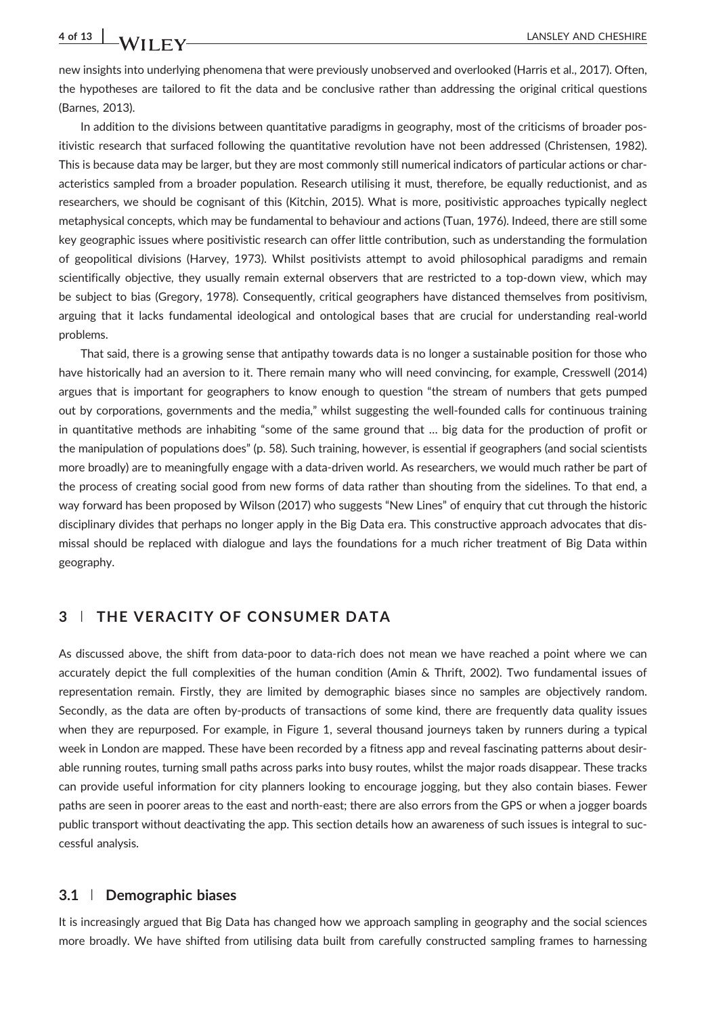## **4 of 13** LANSLEY AND CHESHIRE

new insights into underlying phenomena that were previously unobserved and overlooked (Harris et al., 2017). Often, the hypotheses are tailored to fit the data and be conclusive rather than addressing the original critical questions (Barnes, 2013).

In addition to the divisions between quantitative paradigms in geography, most of the criticisms of broader positivistic research that surfaced following the quantitative revolution have not been addressed (Christensen, 1982). This is because data may be larger, but they are most commonly still numerical indicators of particular actions or characteristics sampled from a broader population. Research utilising it must, therefore, be equally reductionist, and as researchers, we should be cognisant of this (Kitchin, 2015). What is more, positivistic approaches typically neglect metaphysical concepts, which may be fundamental to behaviour and actions (Tuan, 1976). Indeed, there are still some key geographic issues where positivistic research can offer little contribution, such as understanding the formulation of geopolitical divisions (Harvey, 1973). Whilst positivists attempt to avoid philosophical paradigms and remain scientifically objective, they usually remain external observers that are restricted to a top-down view, which may be subject to bias (Gregory, 1978). Consequently, critical geographers have distanced themselves from positivism, arguing that it lacks fundamental ideological and ontological bases that are crucial for understanding real‐world problems.

That said, there is a growing sense that antipathy towards data is no longer a sustainable position for those who have historically had an aversion to it. There remain many who will need convincing, for example, Cresswell (2014) argues that is important for geographers to know enough to question "the stream of numbers that gets pumped out by corporations, governments and the media," whilst suggesting the well‐founded calls for continuous training in quantitative methods are inhabiting "some of the same ground that … big data for the production of profit or the manipulation of populations does" (p. 58). Such training, however, is essential if geographers (and social scientists more broadly) are to meaningfully engage with a data‐driven world. As researchers, we would much rather be part of the process of creating social good from new forms of data rather than shouting from the sidelines. To that end, a way forward has been proposed by Wilson (2017) who suggests "New Lines" of enquiry that cut through the historic disciplinary divides that perhaps no longer apply in the Big Data era. This constructive approach advocates that dismissal should be replaced with dialogue and lays the foundations for a much richer treatment of Big Data within geography.

#### **3** | **THE VERACITY OF CONSUMER DATA**

As discussed above, the shift from data‐poor to data‐rich does not mean we have reached a point where we can accurately depict the full complexities of the human condition (Amin & Thrift, 2002). Two fundamental issues of representation remain. Firstly, they are limited by demographic biases since no samples are objectively random. Secondly, as the data are often by‐products of transactions of some kind, there are frequently data quality issues when they are repurposed. For example, in Figure 1, several thousand journeys taken by runners during a typical week in London are mapped. These have been recorded by a fitness app and reveal fascinating patterns about desirable running routes, turning small paths across parks into busy routes, whilst the major roads disappear. These tracks can provide useful information for city planners looking to encourage jogging, but they also contain biases. Fewer paths are seen in poorer areas to the east and north‐east; there are also errors from the GPS or when a jogger boards public transport without deactivating the app. This section details how an awareness of such issues is integral to successful analysis.

#### **3.1** | **Demographic biases**

It is increasingly argued that Big Data has changed how we approach sampling in geography and the social sciences more broadly. We have shifted from utilising data built from carefully constructed sampling frames to harnessing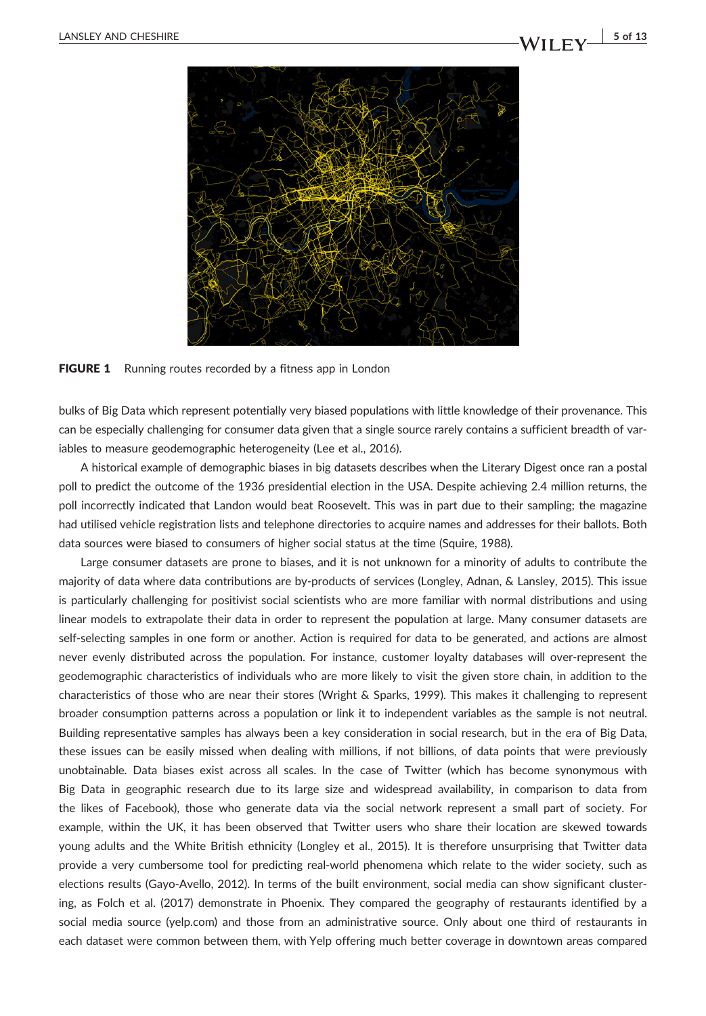

**FIGURE 1** Running routes recorded by a fitness app in London

bulks of Big Data which represent potentially very biased populations with little knowledge of their provenance. This can be especially challenging for consumer data given that a single source rarely contains a sufficient breadth of variables to measure geodemographic heterogeneity (Lee et al., 2016).

A historical example of demographic biases in big datasets describes when the Literary Digest once ran a postal poll to predict the outcome of the 1936 presidential election in the USA. Despite achieving 2.4 million returns, the poll incorrectly indicated that Landon would beat Roosevelt. This was in part due to their sampling; the magazine had utilised vehicle registration lists and telephone directories to acquire names and addresses for their ballots. Both data sources were biased to consumers of higher social status at the time (Squire, 1988).

Large consumer datasets are prone to biases, and it is not unknown for a minority of adults to contribute the majority of data where data contributions are by-products of services (Longley, Adnan, & Lansley, 2015). This issue is particularly challenging for positivist social scientists who are more familiar with normal distributions and using linear models to extrapolate their data in order to represent the population at large. Many consumer datasets are self-selecting samples in one form or another. Action is required for data to be generated, and actions are almost never evenly distributed across the population. For instance, customer loyalty databases will over‐represent the geodemographic characteristics of individuals who are more likely to visit the given store chain, in addition to the characteristics of those who are near their stores (Wright & Sparks, 1999). This makes it challenging to represent broader consumption patterns across a population or link it to independent variables as the sample is not neutral. Building representative samples has always been a key consideration in social research, but in the era of Big Data, these issues can be easily missed when dealing with millions, if not billions, of data points that were previously unobtainable. Data biases exist across all scales. In the case of Twitter (which has become synonymous with Big Data in geographic research due to its large size and widespread availability, in comparison to data from the likes of Facebook), those who generate data via the social network represent a small part of society. For example, within the UK, it has been observed that Twitter users who share their location are skewed towards young adults and the White British ethnicity (Longley et al., 2015). It is therefore unsurprising that Twitter data provide a very cumbersome tool for predicting real‐world phenomena which relate to the wider society, such as elections results (Gayo‐Avello, 2012). In terms of the built environment, social media can show significant clustering, as Folch et al. (2017) demonstrate in Phoenix. They compared the geography of restaurants identified by a social media source [\(yelp.com](http://yelp.com)) and those from an administrative source. Only about one third of restaurants in each dataset were common between them, with Yelp offering much better coverage in downtown areas compared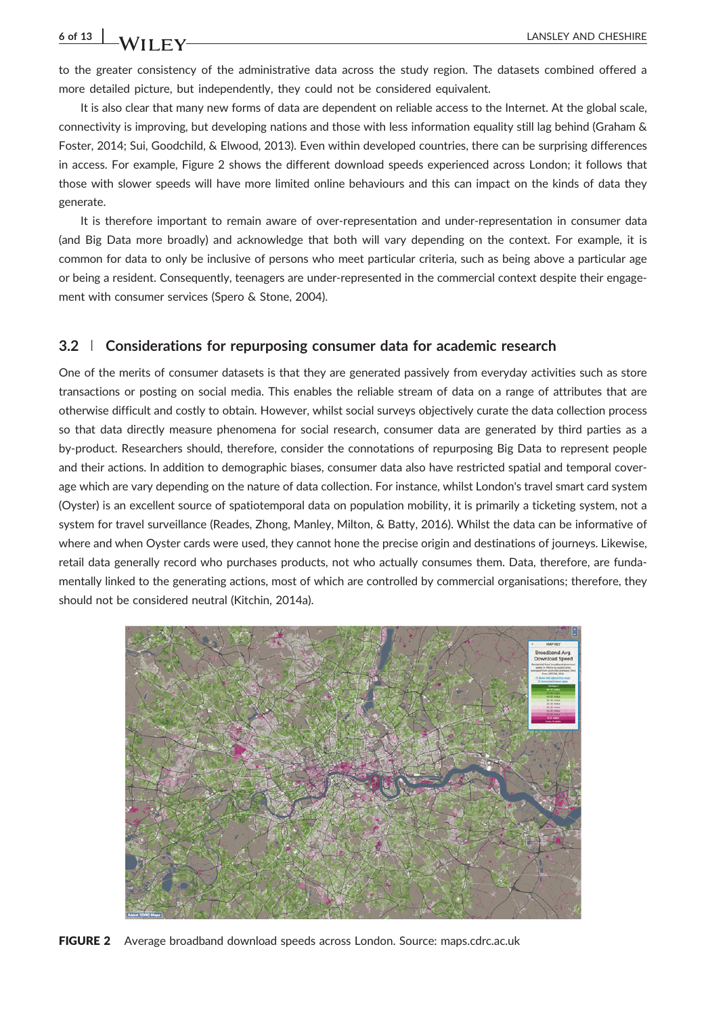to the greater consistency of the administrative data across the study region. The datasets combined offered a more detailed picture, but independently, they could not be considered equivalent.

It is also clear that many new forms of data are dependent on reliable access to the Internet. At the global scale, connectivity is improving, but developing nations and those with less information equality still lag behind (Graham & Foster, 2014; Sui, Goodchild, & Elwood, 2013). Even within developed countries, there can be surprising differences in access. For example, Figure 2 shows the different download speeds experienced across London; it follows that those with slower speeds will have more limited online behaviours and this can impact on the kinds of data they generate.

It is therefore important to remain aware of over‐representation and under‐representation in consumer data (and Big Data more broadly) and acknowledge that both will vary depending on the context. For example, it is common for data to only be inclusive of persons who meet particular criteria, such as being above a particular age or being a resident. Consequently, teenagers are under‐represented in the commercial context despite their engagement with consumer services (Spero & Stone, 2004).

#### **3.2** | **Considerations for repurposing consumer data for academic research**

One of the merits of consumer datasets is that they are generated passively from everyday activities such as store transactions or posting on social media. This enables the reliable stream of data on a range of attributes that are otherwise difficult and costly to obtain. However, whilst social surveys objectively curate the data collection process so that data directly measure phenomena for social research, consumer data are generated by third parties as a by-product. Researchers should, therefore, consider the connotations of repurposing Big Data to represent people and their actions. In addition to demographic biases, consumer data also have restricted spatial and temporal coverage which are vary depending on the nature of data collection. For instance, whilst London's travel smart card system (Oyster) is an excellent source of spatiotemporal data on population mobility, it is primarily a ticketing system, not a system for travel surveillance (Reades, Zhong, Manley, Milton, & Batty, 2016). Whilst the data can be informative of where and when Oyster cards were used, they cannot hone the precise origin and destinations of journeys. Likewise, retail data generally record who purchases products, not who actually consumes them. Data, therefore, are fundamentally linked to the generating actions, most of which are controlled by commercial organisations; therefore, they should not be considered neutral (Kitchin, 2014a).



**FIGURE 2** Average broadband download speeds across London. Source: [maps.cdrc.ac.uk](http://maps.cdrc.ac.uk)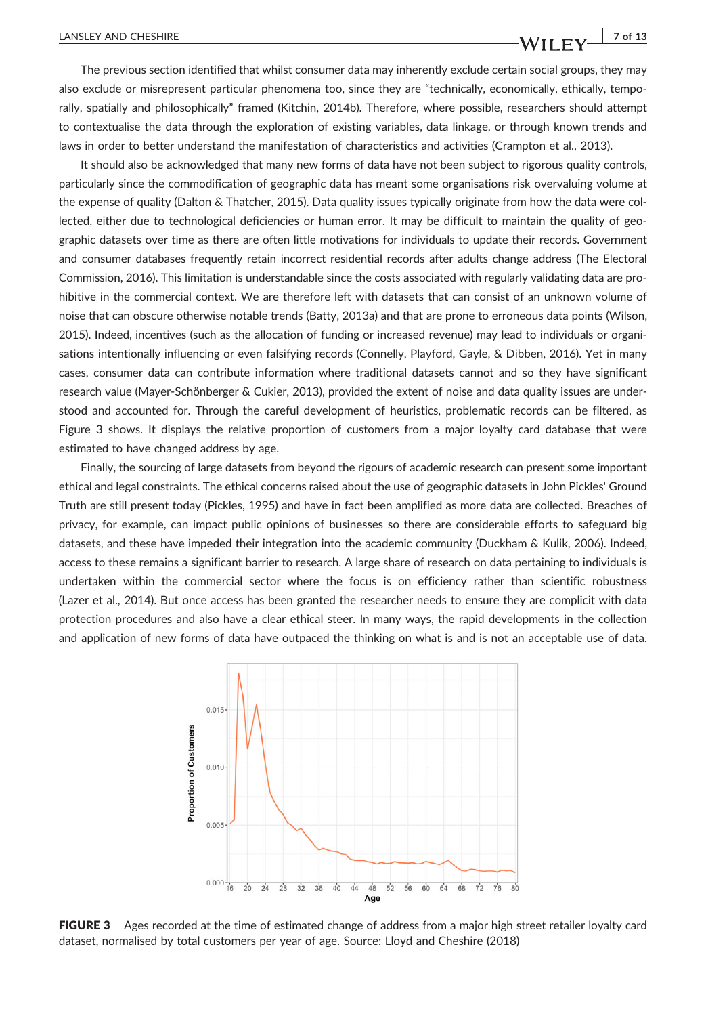The previous section identified that whilst consumer data may inherently exclude certain social groups, they may also exclude or misrepresent particular phenomena too, since they are "technically, economically, ethically, temporally, spatially and philosophically" framed (Kitchin, 2014b). Therefore, where possible, researchers should attempt to contextualise the data through the exploration of existing variables, data linkage, or through known trends and laws in order to better understand the manifestation of characteristics and activities (Crampton et al., 2013).

It should also be acknowledged that many new forms of data have not been subject to rigorous quality controls, particularly since the commodification of geographic data has meant some organisations risk overvaluing volume at the expense of quality (Dalton & Thatcher, 2015). Data quality issues typically originate from how the data were collected, either due to technological deficiencies or human error. It may be difficult to maintain the quality of geographic datasets over time as there are often little motivations for individuals to update their records. Government and consumer databases frequently retain incorrect residential records after adults change address (The Electoral Commission, 2016). This limitation is understandable since the costs associated with regularly validating data are prohibitive in the commercial context. We are therefore left with datasets that can consist of an unknown volume of noise that can obscure otherwise notable trends (Batty, 2013a) and that are prone to erroneous data points (Wilson, 2015). Indeed, incentives (such as the allocation of funding or increased revenue) may lead to individuals or organisations intentionally influencing or even falsifying records (Connelly, Playford, Gayle, & Dibben, 2016). Yet in many cases, consumer data can contribute information where traditional datasets cannot and so they have significant research value (Mayer‐Schönberger & Cukier, 2013), provided the extent of noise and data quality issues are understood and accounted for. Through the careful development of heuristics, problematic records can be filtered, as Figure 3 shows. It displays the relative proportion of customers from a major loyalty card database that were estimated to have changed address by age.

Finally, the sourcing of large datasets from beyond the rigours of academic research can present some important ethical and legal constraints. The ethical concerns raised about the use of geographic datasets in John Pickles' Ground Truth are still present today (Pickles, 1995) and have in fact been amplified as more data are collected. Breaches of privacy, for example, can impact public opinions of businesses so there are considerable efforts to safeguard big datasets, and these have impeded their integration into the academic community (Duckham & Kulik, 2006). Indeed, access to these remains a significant barrier to research. A large share of research on data pertaining to individuals is undertaken within the commercial sector where the focus is on efficiency rather than scientific robustness (Lazer et al., 2014). But once access has been granted the researcher needs to ensure they are complicit with data protection procedures and also have a clear ethical steer. In many ways, the rapid developments in the collection and application of new forms of data have outpaced the thinking on what is and is not an acceptable use of data.

![](_page_6_Figure_5.jpeg)

FIGURE 3 Ages recorded at the time of estimated change of address from a major high street retailer loyalty card dataset, normalised by total customers per year of age. Source: Lloyd and Cheshire (2018)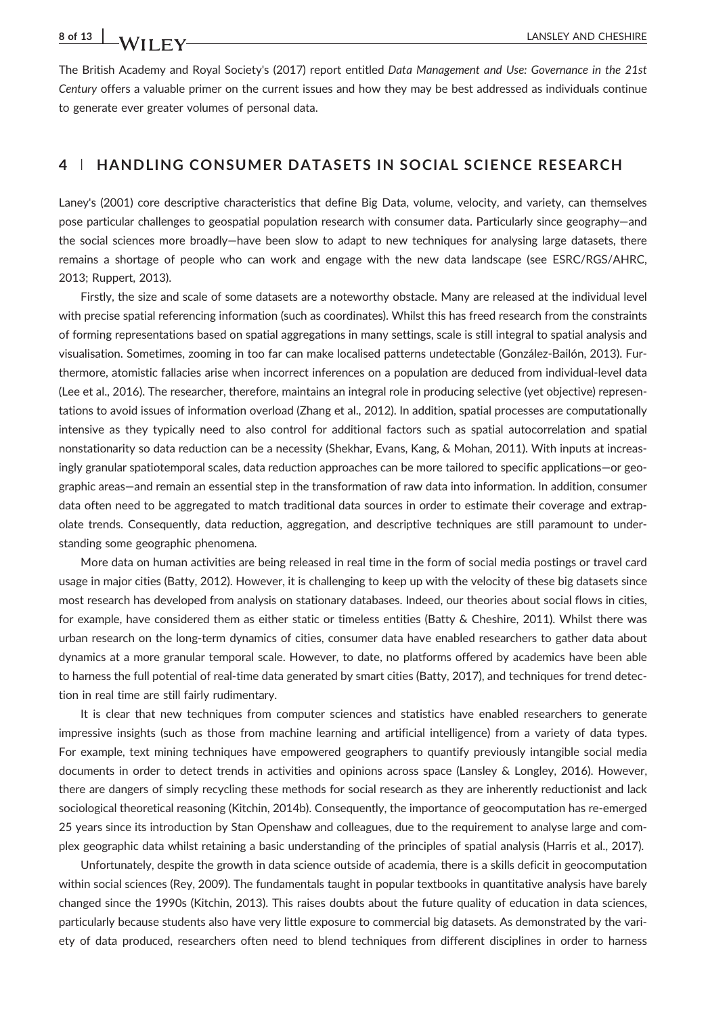The British Academy and Royal Society's (2017) report entitled *Data Management and Use: Governance in the 21st Century* offers a valuable primer on the current issues and how they may be best addressed as individuals continue to generate ever greater volumes of personal data.

#### **4** | **HANDLING CONSUMER DATASETS IN SOCIAL SCIENCE RESEARCH**

Laney's (2001) core descriptive characteristics that define Big Data, volume, velocity, and variety, can themselves pose particular challenges to geospatial population research with consumer data. Particularly since geography—and the social sciences more broadly—have been slow to adapt to new techniques for analysing large datasets, there remains a shortage of people who can work and engage with the new data landscape (see ESRC/RGS/AHRC, 2013; Ruppert, 2013).

Firstly, the size and scale of some datasets are a noteworthy obstacle. Many are released at the individual level with precise spatial referencing information (such as coordinates). Whilst this has freed research from the constraints of forming representations based on spatial aggregations in many settings, scale is still integral to spatial analysis and visualisation. Sometimes, zooming in too far can make localised patterns undetectable (González‐Bailón, 2013). Furthermore, atomistic fallacies arise when incorrect inferences on a population are deduced from individual‐level data (Lee et al., 2016). The researcher, therefore, maintains an integral role in producing selective (yet objective) representations to avoid issues of information overload (Zhang et al., 2012). In addition, spatial processes are computationally intensive as they typically need to also control for additional factors such as spatial autocorrelation and spatial nonstationarity so data reduction can be a necessity (Shekhar, Evans, Kang, & Mohan, 2011). With inputs at increasingly granular spatiotemporal scales, data reduction approaches can be more tailored to specific applications—or geographic areas—and remain an essential step in the transformation of raw data into information. In addition, consumer data often need to be aggregated to match traditional data sources in order to estimate their coverage and extrapolate trends. Consequently, data reduction, aggregation, and descriptive techniques are still paramount to understanding some geographic phenomena.

More data on human activities are being released in real time in the form of social media postings or travel card usage in major cities (Batty, 2012). However, it is challenging to keep up with the velocity of these big datasets since most research has developed from analysis on stationary databases. Indeed, our theories about social flows in cities, for example, have considered them as either static or timeless entities (Batty & Cheshire, 2011). Whilst there was urban research on the long‐term dynamics of cities, consumer data have enabled researchers to gather data about dynamics at a more granular temporal scale. However, to date, no platforms offered by academics have been able to harness the full potential of real‐time data generated by smart cities (Batty, 2017), and techniques for trend detection in real time are still fairly rudimentary.

It is clear that new techniques from computer sciences and statistics have enabled researchers to generate impressive insights (such as those from machine learning and artificial intelligence) from a variety of data types. For example, text mining techniques have empowered geographers to quantify previously intangible social media documents in order to detect trends in activities and opinions across space (Lansley & Longley, 2016). However, there are dangers of simply recycling these methods for social research as they are inherently reductionist and lack sociological theoretical reasoning (Kitchin, 2014b). Consequently, the importance of geocomputation has re-emerged 25 years since its introduction by Stan Openshaw and colleagues, due to the requirement to analyse large and complex geographic data whilst retaining a basic understanding of the principles of spatial analysis (Harris et al., 2017).

Unfortunately, despite the growth in data science outside of academia, there is a skills deficit in geocomputation within social sciences (Rey, 2009). The fundamentals taught in popular textbooks in quantitative analysis have barely changed since the 1990s (Kitchin, 2013). This raises doubts about the future quality of education in data sciences, particularly because students also have very little exposure to commercial big datasets. As demonstrated by the variety of data produced, researchers often need to blend techniques from different disciplines in order to harness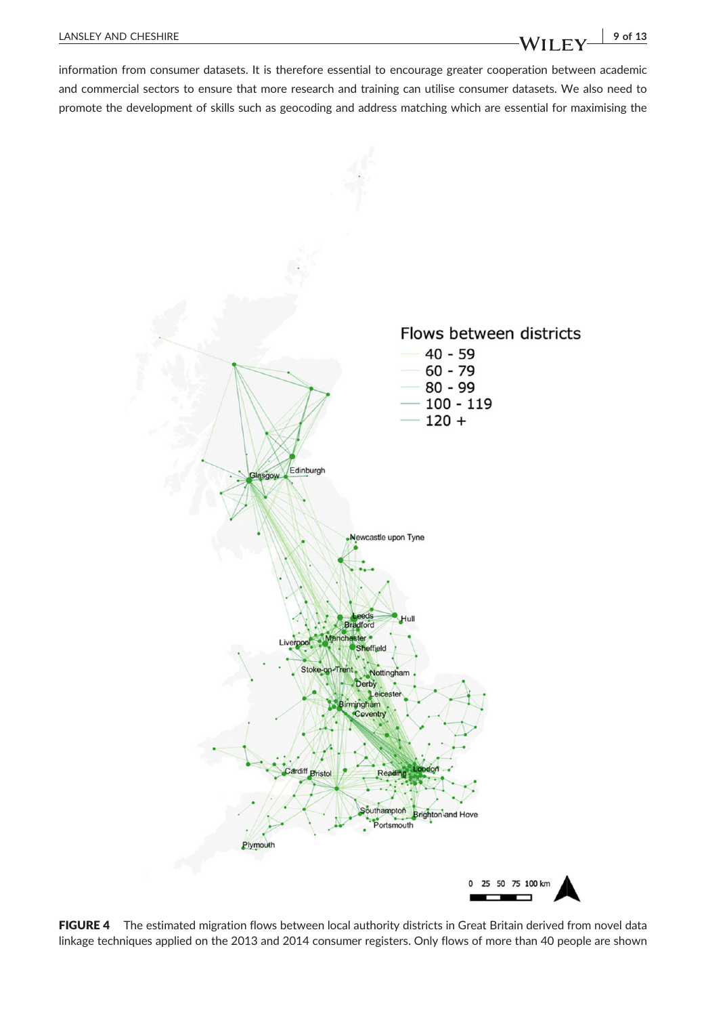### LANSLEY AND CHESHIRE **WILLEY 9 of 13**

information from consumer datasets. It is therefore essential to encourage greater cooperation between academic and commercial sectors to ensure that more research and training can utilise consumer datasets. We also need to promote the development of skills such as geocoding and address matching which are essential for maximising the

![](_page_8_Figure_3.jpeg)

FIGURE 4 The estimated migration flows between local authority districts in Great Britain derived from novel data linkage techniques applied on the 2013 and 2014 consumer registers. Only flows of more than 40 people are shown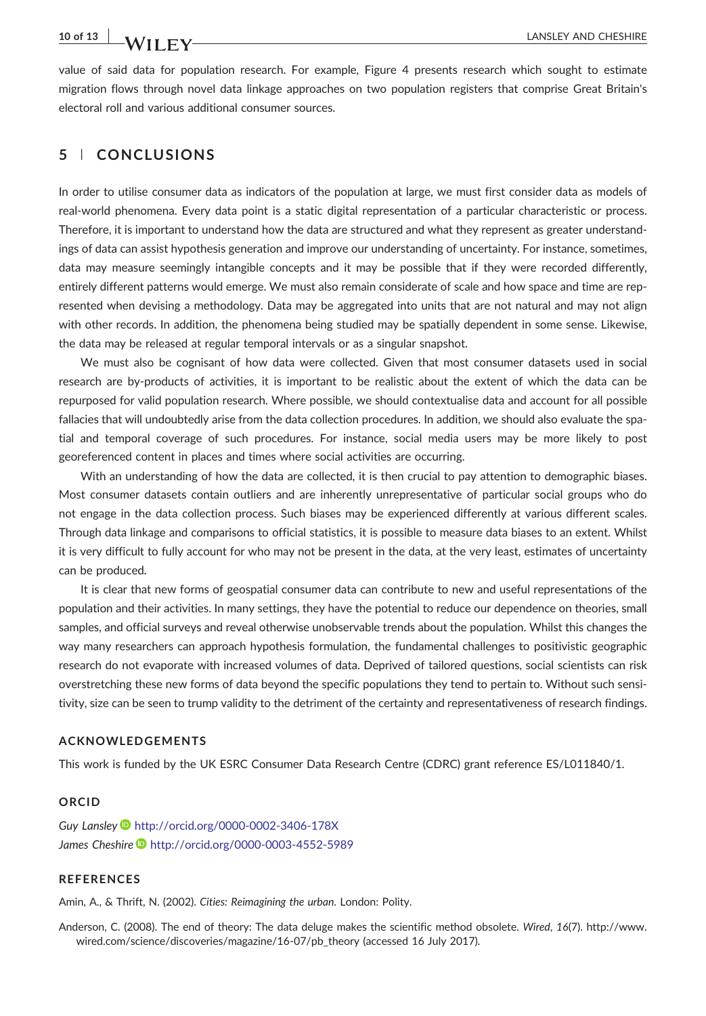value of said data for population research. For example, Figure 4 presents research which sought to estimate migration flows through novel data linkage approaches on two population registers that comprise Great Britain's electoral roll and various additional consumer sources.

### **5** | **CONCLUSIONS**

In order to utilise consumer data as indicators of the population at large, we must first consider data as models of real‐world phenomena. Every data point is a static digital representation of a particular characteristic or process. Therefore, it is important to understand how the data are structured and what they represent as greater understandings of data can assist hypothesis generation and improve our understanding of uncertainty. For instance, sometimes, data may measure seemingly intangible concepts and it may be possible that if they were recorded differently, entirely different patterns would emerge. We must also remain considerate of scale and how space and time are represented when devising a methodology. Data may be aggregated into units that are not natural and may not align with other records. In addition, the phenomena being studied may be spatially dependent in some sense. Likewise, the data may be released at regular temporal intervals or as a singular snapshot.

We must also be cognisant of how data were collected. Given that most consumer datasets used in social research are by‐products of activities, it is important to be realistic about the extent of which the data can be repurposed for valid population research. Where possible, we should contextualise data and account for all possible fallacies that will undoubtedly arise from the data collection procedures. In addition, we should also evaluate the spatial and temporal coverage of such procedures. For instance, social media users may be more likely to post georeferenced content in places and times where social activities are occurring.

With an understanding of how the data are collected, it is then crucial to pay attention to demographic biases. Most consumer datasets contain outliers and are inherently unrepresentative of particular social groups who do not engage in the data collection process. Such biases may be experienced differently at various different scales. Through data linkage and comparisons to official statistics, it is possible to measure data biases to an extent. Whilst it is very difficult to fully account for who may not be present in the data, at the very least, estimates of uncertainty can be produced.

It is clear that new forms of geospatial consumer data can contribute to new and useful representations of the population and their activities. In many settings, they have the potential to reduce our dependence on theories, small samples, and official surveys and reveal otherwise unobservable trends about the population. Whilst this changes the way many researchers can approach hypothesis formulation, the fundamental challenges to positivistic geographic research do not evaporate with increased volumes of data. Deprived of tailored questions, social scientists can risk overstretching these new forms of data beyond the specific populations they tend to pertain to. Without such sensitivity, size can be seen to trump validity to the detriment of the certainty and representativeness of research findings.

#### **ACKNOWLEDGEMENTS**

This work is funded by the UK ESRC Consumer Data Research Centre (CDRC) grant reference ES/L011840/1.

#### **ORCID**

*Guy Lansley* <http://orcid.org/0000-0002-3406-178X> *James Cheshire* <http://orcid.org/0000-0003-4552-5989>

#### **REFERENCES**

Amin, A., & Thrift, N. (2002). *Cities: Reimagining the urban*. London: Polity.

Anderson, C. (2008). The end of theory: The data deluge makes the scientific method obsolete. *Wired*, *16*(7). [http://www.](http://www.wired.com/science/discoveries/magazine/16-07/pb_theory) [wired.com/science/discoveries/magazine/16](http://www.wired.com/science/discoveries/magazine/16-07/pb_theory)-07/pb\_theory (accessed 16 July 2017).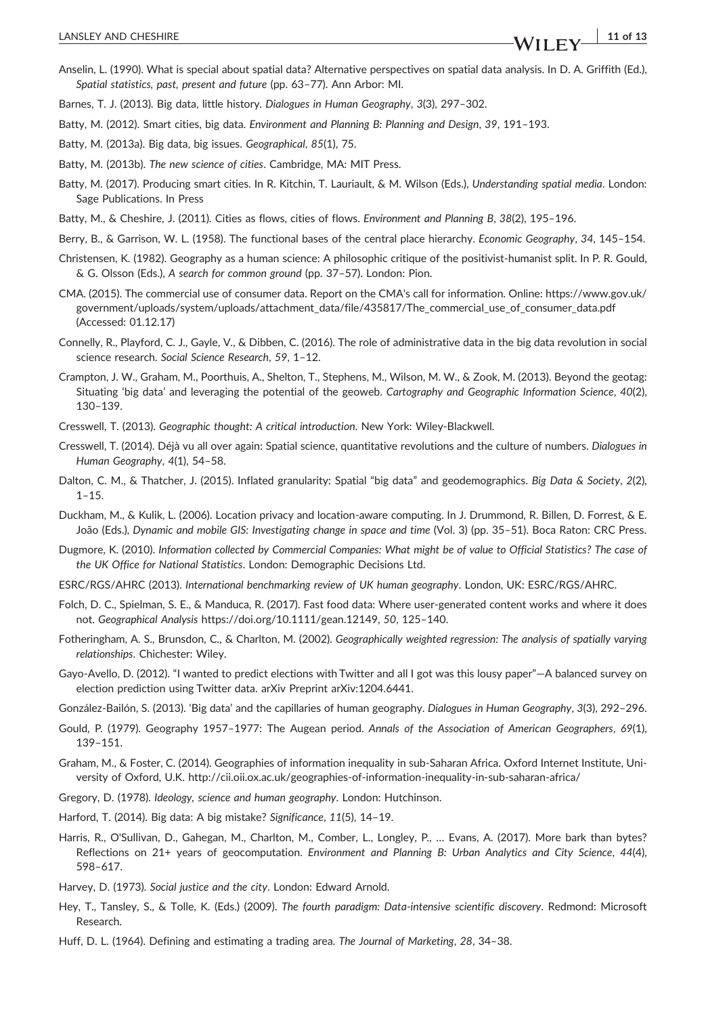Anselin, L. (1990). What is special about spatial data? Alternative perspectives on spatial data analysis. In D. A. Griffith (Ed.), *Spatial statistics, past, present and future* (pp. 63–77). Ann Arbor: MI.

Barnes, T. J. (2013). Big data, little history. *Dialogues in Human Geography*, *3*(3), 297–302.

- Batty, M. (2012). Smart cities, big data. *Environment and Planning B: Planning and Design*, *39*, 191–193.
- Batty, M. (2013a). Big data, big issues. *Geographical*, *85*(1), 75.
- Batty, M. (2013b). *The new science of cities*. Cambridge, MA: MIT Press.
- Batty, M. (2017). Producing smart cities. In R. Kitchin, T. Lauriault, & M. Wilson (Eds.), *Understanding spatial media*. London: Sage Publications. In Press
- Batty, M., & Cheshire, J. (2011). Cities as flows, cities of flows. *Environment and Planning B*, *38*(2), 195–196.
- Berry, B., & Garrison, W. L. (1958). The functional bases of the central place hierarchy. *Economic Geography*, *34*, 145–154.
- Christensen, K. (1982). Geography as a human science: A philosophic critique of the positivist‐humanist split. In P. R. Gould, & G. Olsson (Eds.), *A search for common ground* (pp. 37–57). London: Pion.
- CMA. (2015). The commercial use of consumer data. Report on the CMA's call for information. Online: [https://www.gov.uk/](https://www.gov.uk/government/uploads/system/uploads/attachment_data/file/435817/The_commercial_use_of_consumer_data.pdf) [government/uploads/system/uploads/attachment\\_data/file/435817/The\\_commercial\\_use\\_of\\_consumer\\_data.pdf](https://www.gov.uk/government/uploads/system/uploads/attachment_data/file/435817/The_commercial_use_of_consumer_data.pdf) (Accessed: 01.12.17)
- Connelly, R., Playford, C. J., Gayle, V., & Dibben, C. (2016). The role of administrative data in the big data revolution in social science research. *Social Science Research*, *59*, 1–12.
- Crampton, J. W., Graham, M., Poorthuis, A., Shelton, T., Stephens, M., Wilson, M. W., & Zook, M. (2013). Beyond the geotag: Situating 'big data' and leveraging the potential of the geoweb. *Cartography and Geographic Information Science*, *40*(2), 130–139.
- Cresswell, T. (2013). *Geographic thought: A critical introduction*. New York: Wiley‐Blackwell.
- Cresswell, T. (2014). Déjà vu all over again: Spatial science, quantitative revolutions and the culture of numbers. *Dialogues in Human Geography*, *4*(1), 54–58.
- Dalton, C. M., & Thatcher, J. (2015). Inflated granularity: Spatial "big data" and geodemographics. *Big Data & Society*, *2*(2), 1–15.
- Duckham, M., & Kulik, L. (2006). Location privacy and location‐aware computing. In J. Drummond, R. Billen, D. Forrest, & E. João (Eds.), *Dynamic and mobile GIS: Investigating change in space and time* (Vol. 3) (pp. 35–51). Boca Raton: CRC Press.
- Dugmore, K. (2010). *Information collected by Commercial Companies: What might be of value to Official Statistics? The case of the UK Office for National Statistics*. London: Demographic Decisions Ltd.
- ESRC/RGS/AHRC (2013). *International benchmarking review of UK human geography*. London, UK: ESRC/RGS/AHRC.
- Folch, D. C., Spielman, S. E., & Manduca, R. (2017). Fast food data: Where user‐generated content works and where it does not. *Geographical Analysis* <https://doi.org/10.1111/gean.12149>, *50*, 125–140.
- Fotheringham, A. S., Brunsdon, C., & Charlton, M. (2002). *Geographically weighted regression: The analysis of spatially varying relationships*. Chichester: Wiley.
- Gayo‐Avello, D. (2012). "I wanted to predict elections with Twitter and all I got was this lousy paper"—A balanced survey on election prediction using Twitter data. arXiv Preprint arXiv:1204.6441.
- González‐Bailón, S. (2013). 'Big data' and the capillaries of human geography. *Dialogues in Human Geography*, *3*(3), 292–296.
- Gould, P. (1979). Geography 1957–1977: The Augean period. *Annals of the Association of American Geographers*, *69*(1), 139–151.
- Graham, M., & Foster, C. (2014). Geographies of information inequality in sub‐Saharan Africa. Oxford Internet Institute, University of Oxford, U.K. [http://cii.oii.ox.ac.uk/geographies](http://cii.oii.ox.ac.uk/geographies-of-information-inequality-in-sub-saharan-africa/)‐of‐information‐inequality‐in‐sub‐saharan‐africa/
- Gregory, D. (1978). *Ideology, science and human geography*. London: Hutchinson.
- Harford, T. (2014). Big data: A big mistake? *Significance*, *11*(5), 14–19.
- Harris, R., O'Sullivan, D., Gahegan, M., Charlton, M., Comber, L., Longley, P., … Evans, A. (2017). More bark than bytes? Reflections on 21+ years of geocomputation. *Environment and Planning B: Urban Analytics and City Science*, *44*(4), 598–617.
- Harvey, D. (1973). *Social justice and the city*. London: Edward Arnold.
- Hey, T., Tansley, S., & Tolle, K. (Eds.) (2009). *The fourth paradigm: Data‐intensive scientific discovery*. Redmond: Microsoft Research.
- Huff, D. L. (1964). Defining and estimating a trading area. *The Journal of Marketing*, *28*, 34–38.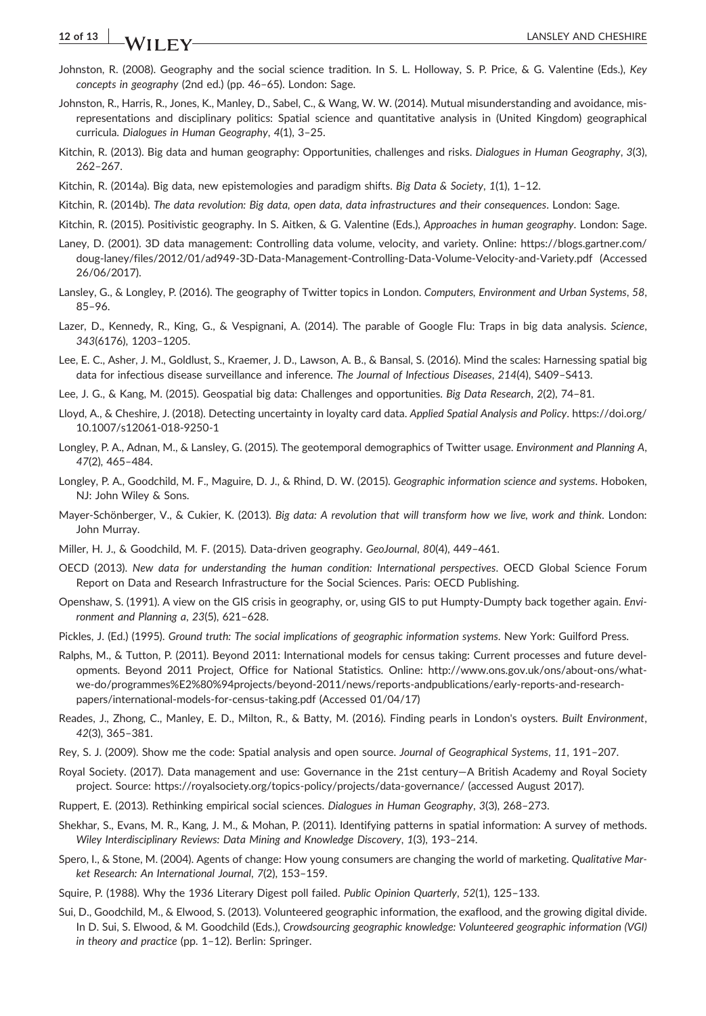## **12 of 13 LANSLEY AND CHESHIRE**

- Johnston, R. (2008). Geography and the social science tradition. In S. L. Holloway, S. P. Price, & G. Valentine (Eds.), *Key concepts in geography* (2nd ed.) (pp. 46–65). London: Sage.
- Johnston, R., Harris, R., Jones, K., Manley, D., Sabel, C., & Wang, W. W. (2014). Mutual misunderstanding and avoidance, misrepresentations and disciplinary politics: Spatial science and quantitative analysis in (United Kingdom) geographical curricula. *Dialogues in Human Geography*, *4*(1), 3–25.
- Kitchin, R. (2013). Big data and human geography: Opportunities, challenges and risks. *Dialogues in Human Geography*, *3*(3), 262–267.
- Kitchin, R. (2014a). Big data, new epistemologies and paradigm shifts. *Big Data & Society*, *1*(1), 1–12.
- Kitchin, R. (2014b). *The data revolution: Big data, open data, data infrastructures and their consequences*. London: Sage.
- Kitchin, R. (2015). Positivistic geography. In S. Aitken, & G. Valentine (Eds.), *Approaches in human geography*. London: Sage.
- Laney, D. (2001). 3D data management: Controlling data volume, velocity, and variety. Online: [https://blogs.gartner.com/](https://blogs.gartner.com/doug-laney/files/2012/01/ad949-3D-Data-Management-Controlling-Data-Volume-Velocity-and-Variety.pdf) doug‐[laney/files/2012/01/ad949](https://blogs.gartner.com/doug-laney/files/2012/01/ad949-3D-Data-Management-Controlling-Data-Volume-Velocity-and-Variety.pdf)‐3D‐Data‐Management‐Controlling‐Data‐Volume‐Velocity‐and‐Variety.pdf (Accessed 26/06/2017).
- Lansley, G., & Longley, P. (2016). The geography of Twitter topics in London. *Computers, Environment and Urban Systems*, *58*, 85–96.
- Lazer, D., Kennedy, R., King, G., & Vespignani, A. (2014). The parable of Google Flu: Traps in big data analysis. *Science*, *343*(6176), 1203–1205.
- Lee, E. C., Asher, J. M., Goldlust, S., Kraemer, J. D., Lawson, A. B., & Bansal, S. (2016). Mind the scales: Harnessing spatial big data for infectious disease surveillance and inference. *The Journal of Infectious Diseases*, *214*(4), S409–S413.
- Lee, J. G., & Kang, M. (2015). Geospatial big data: Challenges and opportunities. *Big Data Research*, *2*(2), 74–81.
- Lloyd, A., & Cheshire, J. (2018). Detecting uncertainty in loyalty card data. *Applied Spatial Analysis and Policy*. [https://doi.org/](https://doi.org/10.1007/s12061-018-9250-1) [10.1007/s12061](https://doi.org/10.1007/s12061-018-9250-1)‐018‐9250‐1
- Longley, P. A., Adnan, M., & Lansley, G. (2015). The geotemporal demographics of Twitter usage. *Environment and Planning A*, *47*(2), 465–484.
- Longley, P. A., Goodchild, M. F., Maguire, D. J., & Rhind, D. W. (2015). *Geographic information science and systems*. Hoboken, NJ: John Wiley & Sons.
- Mayer‐Schönberger, V., & Cukier, K. (2013). *Big data: A revolution that will transform how we live, work and think*. London: John Murray.
- Miller, H. J., & Goodchild, M. F. (2015). Data‐driven geography. *GeoJournal*, *80*(4), 449–461.
- OECD (2013). *New data for understanding the human condition: International perspectives*. OECD Global Science Forum Report on Data and Research Infrastructure for the Social Sciences. Paris: OECD Publishing.
- Openshaw, S. (1991). A view on the GIS crisis in geography, or, using GIS to put Humpty‐Dumpty back together again. *Environment and Planning a*, *23*(5), 621–628.
- Pickles, J. (Ed.) (1995). *Ground truth: The social implications of geographic information systems*. New York: Guilford Press.
- Ralphs, M., & Tutton, P. (2011). Beyond 2011: International models for census taking: Current processes and future developments. Beyond 2011 Project, Office for National Statistics. Online: [http://www.ons.gov.uk/ons/about-ons/what](http://www.ons.gov.uk/ons/about-ons/what-we-do/programmes%E2%80%94projects/beyond-2011/news/reports-andpublications/early-reports-and-research-papers/international-models-for-census-taking.pdf)[we-do/programmes%E2%80%94projects/beyond-2011/news/reports-andpublications/early-reports-and-research](http://www.ons.gov.uk/ons/about-ons/what-we-do/programmes%E2%80%94projects/beyond-2011/news/reports-andpublications/early-reports-and-research-papers/international-models-for-census-taking.pdf)[papers/international-models-for-census-taking.pdf](http://www.ons.gov.uk/ons/about-ons/what-we-do/programmes%E2%80%94projects/beyond-2011/news/reports-andpublications/early-reports-and-research-papers/international-models-for-census-taking.pdf) (Accessed 01/04/17)
- Reades, J., Zhong, C., Manley, E. D., Milton, R., & Batty, M. (2016). Finding pearls in London's oysters. *Built Environment*, *42*(3), 365–381.
- Rey, S. J. (2009). Show me the code: Spatial analysis and open source. *Journal of Geographical Systems*, *11*, 191–207.
- Royal Society. (2017). Data management and use: Governance in the 21st century—A British Academy and Royal Society project. Source: [https://royalsociety.org/topics](https://royalsociety.org/topics-policy/projects/data-governance/)‐policy/projects/data‐governance/ (accessed August 2017).
- Ruppert, E. (2013). Rethinking empirical social sciences. *Dialogues in Human Geography*, *3*(3), 268–273.
- Shekhar, S., Evans, M. R., Kang, J. M., & Mohan, P. (2011). Identifying patterns in spatial information: A survey of methods. *Wiley Interdisciplinary Reviews: Data Mining and Knowledge Discovery*, *1*(3), 193–214.
- Spero, I., & Stone, M. (2004). Agents of change: How young consumers are changing the world of marketing. *Qualitative Market Research: An International Journal*, *7*(2), 153–159.
- Squire, P. (1988). Why the 1936 Literary Digest poll failed. *Public Opinion Quarterly*, *52*(1), 125–133.
- Sui, D., Goodchild, M., & Elwood, S. (2013). Volunteered geographic information, the exaflood, and the growing digital divide. In D. Sui, S. Elwood, & M. Goodchild (Eds.), *Crowdsourcing geographic knowledge: Volunteered geographic information (VGI) in theory and practice (pp. 1-12). Berlin: Springer.*